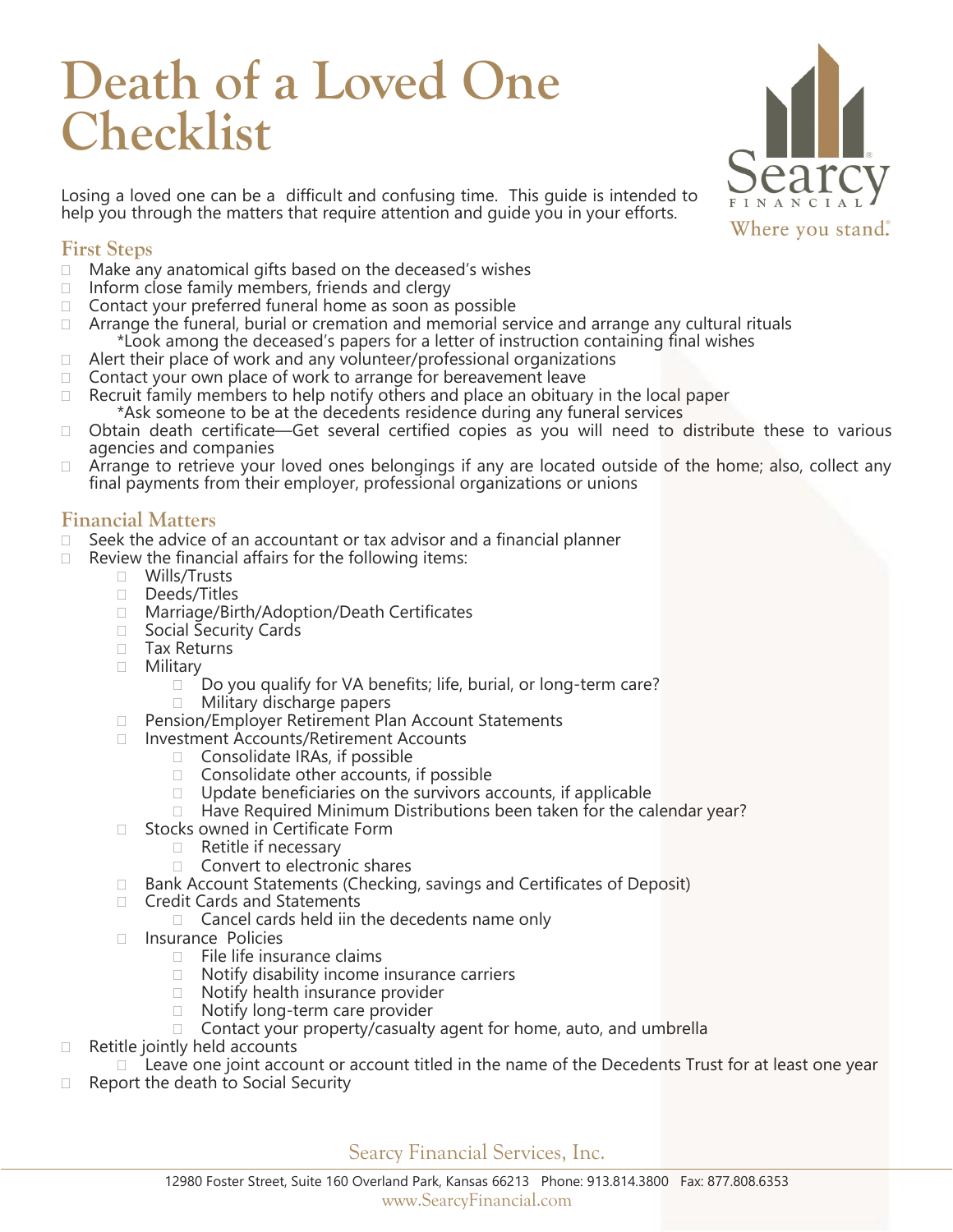# **Death of a Loved One Checklist**



Losing a loved one can be a difficult and confusing time. This guide is intended to help you through the matters that require attention and guide you in your efforts.

#### **First Steps**

- $\Box$  Make any anatomical gifts based on the deceased's wishes
- $\Box$  Inform close family members, friends and clergy
- □ Contact your preferred funeral home as soon as possible
- □ Arrange the funeral, burial or cremation and memorial service and arrange any cultural rituals \*Look among the deceased's papers for a letter of instruction containing final wishes
- □ Alert their place of work and any volunteer/professional organizations
- □ Contact your own place of work to arrange for bereavement leave
- $\Box$  Recruit family members to help notify others and place an obituary in the local paper \*Ask someone to be at the decedents residence during any funeral services
- Obtain death certificate—Get several certified copies as you will need to distribute these to various agencies and companies
- Arrange to retrieve your loved ones belongings if any are located outside of the home; also, collect any final payments from their employer, professional organizations or unions

#### **Financial Matters**

- $\Box$  Seek the advice of an accountant or tax advisor and a financial planner
- $\Box$  Review the financial affairs for the following items:
	- **D** Wills/Trusts
	- □ Deeds/Titles
	- □ Marriage/Birth/Adoption/Death Certificates
	- □ Social Security Cards
	- Tax Returns
	- Military
		- $\Box$  Do you qualify for VA benefits; life, burial, or long-term care?
		- **Nilitary discharge papers**
	- □ Pension/Employer Retirement Plan Account Statements
	- □ Investment Accounts/Retirement Accounts
		- □ Consolidate IRAs, if possible
		- $\Box$  Consolidate other accounts, if possible
		- $\Box$  Update beneficiaries on the survivors accounts, if applicable
		- $\Box$  Have Required Minimum Distributions been taken for the calendar year?
	- □ Stocks owned in Certificate Form
		- Retitle if necessary
		- □ Convert to electronic shares
	- □ Bank Account Statements (Checking, savings and Certificates of Deposit)
	- □ Credit Cards and Statements
		- $\Box$  Cancel cards held iin the decedents name only
	- Insurance Policies
		- $\Box$  File life insurance claims
		- $\Box$  Notify disability income insurance carriers  $\Box$  Notify health insurance provider
		- Notify health insurance provider
		- □ Notify long-term care provider
		- □ Contact your property/casualty agent for home, auto, and umbrella
- $\Box$  Retitle jointly held accounts
	- $\Box$  Leave one joint account or account titled in the name of the Decedents Trust for at least one year
- Report the death to Social Security

Searcy Financial Services, Inc.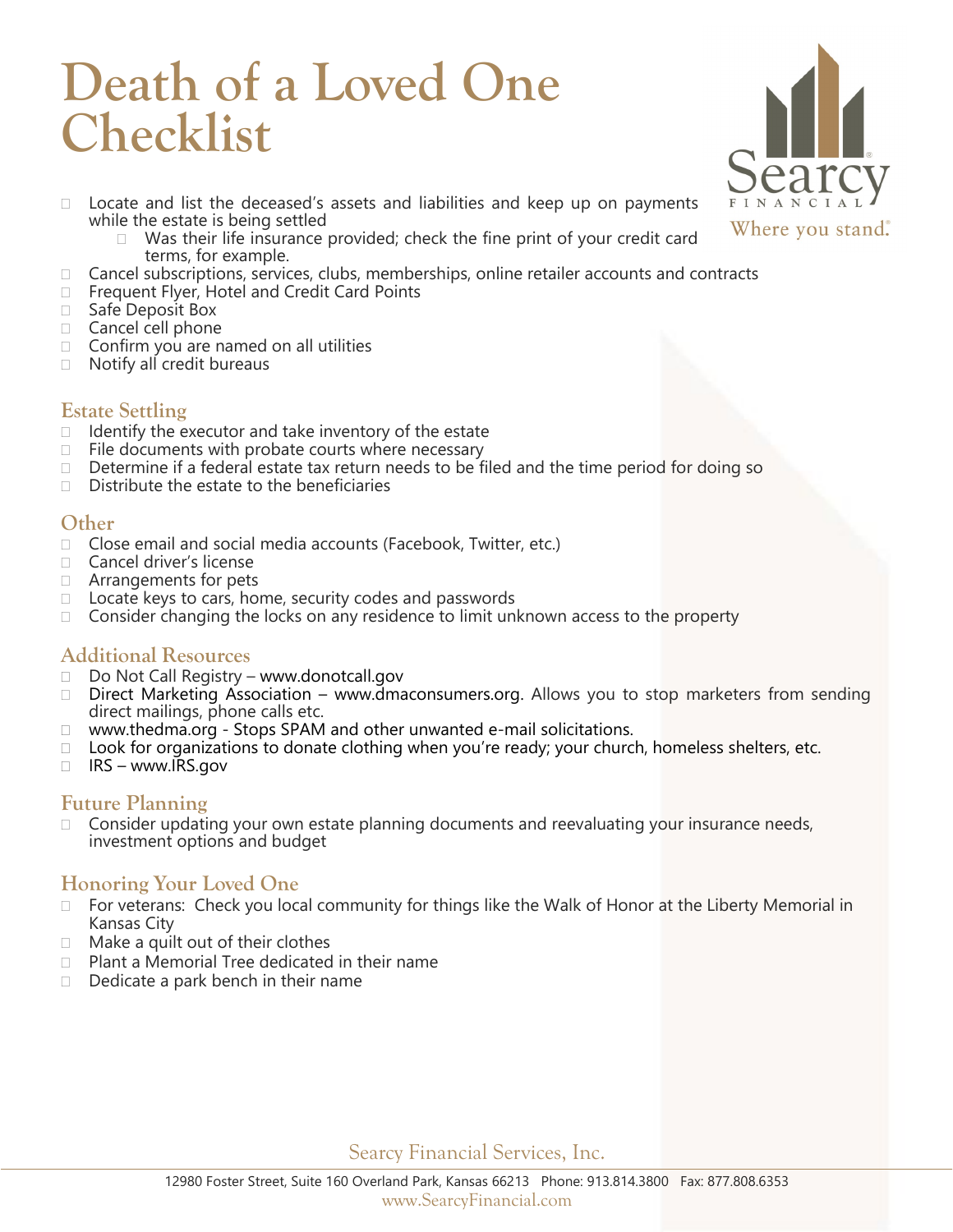# **Death of a Loved One Checklist**

- Where you stand.
- $\Box$  Locate and list the deceased's assets and liabilities and keep up on payments while the estate is being settled
	- Was their life insurance provided; check the fine print of your credit card terms, for example.
- $\Box$  Cancel subscriptions, services, clubs, memberships, online retailer accounts and contracts
- □ Frequent Flyer, Hotel and Credit Card Points
- □ Safe Deposit Box
- Cancel cell phone
- $\Box$  Confirm you are named on all utilities
- $\Box$  Notify all credit bureaus

#### **Estate Settling**

- $\Box$  Identify the executor and take inventory of the estate
- $\Box$  File documents with probate courts where necessary
- $\Box$  Determine if a federal estate tax return needs to be filed and the time period for doing so
- $\neg$  Distribute the estate to the beneficiaries

#### **Other**

- □ Close email and social media accounts (Facebook, Twitter, etc.)
- □ Cancel driver's license
- □ Arrangements for pets
- $\Box$  Locate keys to cars, home, security codes and passwords
- $\Box$  Consider changing the locks on any residence to limit unknown access to the property

### **Additional Resources**

- □ Do Not Call Registry [www.donotcall.gov](http://www.donotcall.gov/)
- Direct Marketing Association [www.dmaconsumers.org.](http://www.dmaconsumers.org/) Allows you to stop marketers from sending direct mailings, phone calls etc.
- □ [www.thedma.org](http://www.thedma.org/)  Stops SPAM and other unwanted e-mail solicitations.
- □ Look for organizations to donate clothing when you're ready; your church, homeless shelters, etc.
- $\Box$  IRS [www.IRS.gov](http://www.irs.gov/)

### **Future Planning**

 $\Box$  Consider updating your own estate planning documents and reevaluating your insurance needs, investment options and budget

## **Honoring Your Loved One**

- □ For veterans: Check you local community for things like the Walk of Honor at the Liberty Memorial in Kansas City
- $\Box$  Make a quilt out of their clothes
- □ Plant a Memorial Tree dedicated in their name
- $\Box$  Dedicate a park bench in their name

### Searcy Financial Services, Inc.